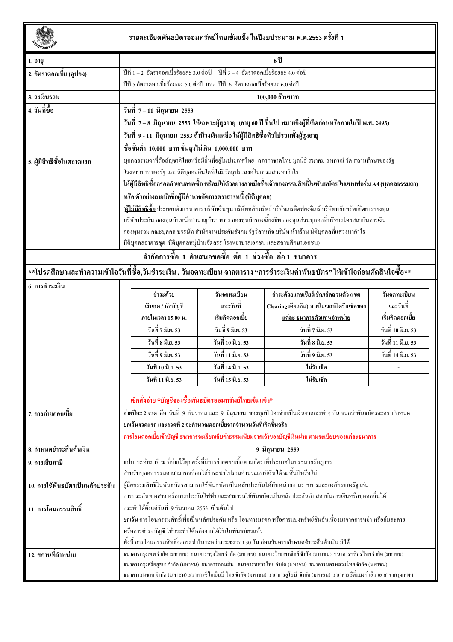|                                                                                                                               | รายละเอียดพันธบัตรออมทรัพย์ไทยเข้มแข็ง ในปีงบประมาณ พ.ศ.2553 ครั้งที่ 1                                                                                                                                                                 |                    |                                                  |                    |  |
|-------------------------------------------------------------------------------------------------------------------------------|-----------------------------------------------------------------------------------------------------------------------------------------------------------------------------------------------------------------------------------------|--------------------|--------------------------------------------------|--------------------|--|
| 1. อายุ                                                                                                                       | $6\degree$ ปี                                                                                                                                                                                                                           |                    |                                                  |                    |  |
| 2. อัตราดอกเบี้ย (ดูปอง)                                                                                                      | $\vec{1}$ ที่ 1 – 2 อัตราคอกเบี้ยร้อยละ 3.0 ต่อปี   ปีที่ 3 – 4 อัตราคอกเบี้ยร้อยละ 4.0 ต่อปี                                                                                                                                           |                    |                                                  |                    |  |
|                                                                                                                               | ปีที่ 5 อัตราคอกเบี้ยร้อยละ  5.0 ต่อปี  และ  ปีที่  6  อัตราคอกเบี้ยร้อยละ 6.0 ต่อปี                                                                                                                                                    |                    |                                                  |                    |  |
| 3. วงเงินรวม                                                                                                                  | 100,000 ล้านบาท                                                                                                                                                                                                                         |                    |                                                  |                    |  |
| 4. วันที่ซื้อ                                                                                                                 | วันที่ 7-11 มิถุนายน 2553                                                                                                                                                                                                               |                    |                                                  |                    |  |
|                                                                                                                               | วันที่ 7–8 มิถุนายน 2553 ให้เฉพาะผู้สูงอายุ (อายุ 60 ปี ขึ้นไป หมายถึงผู้ที่เกิดก่อนหรือภายในปี พ.ศ. 2493)                                                                                                                              |                    |                                                  |                    |  |
|                                                                                                                               | วันที่ 9-11 มิถุนายน 2553 ถ้ามีวงเงินเหลือให้ผู้มีสิทธิซื้อทั่วไปรวมทั้งผู้สูงอายุ                                                                                                                                                      |                    |                                                  |                    |  |
|                                                                                                                               | ซื้อขั้นต่ำ 10,000 บาท ขั้นสูงไม่เกิน 1,000,000 บาท                                                                                                                                                                                     |                    |                                                  |                    |  |
| 5. ผู้มีสิทธิซื้อในตลาดแรก                                                                                                    | บุคคลธรรมดาที่ถือสัญชาติใทยหรือมีถิ่นที่อยู่ในประเทศไทย  สภากาชาดไทย มูลนิธิ สมาคม สหกรณ์ วัด สถานศึกษาของรัฐ                                                                                                                           |                    |                                                  |                    |  |
|                                                                                                                               | โรงพยาบาลของรัฐ และนิติบุคคลอื่นใคที่ไม่มีวัตถุประสงค์ในการแสวงหากำไร                                                                                                                                                                   |                    |                                                  |                    |  |
|                                                                                                                               | ให้ผู้มีสิทธิ์ซื้อกรอกคำเสนอขอซื้อ พร้อมให้ตัวอย่างลายมือชื่อเจ้าของกรรมสิทธิ์ในพันธบัตร ในแบบฟอร์ม A4 (บุคคลธรรมดา)                                                                                                                    |                    |                                                  |                    |  |
|                                                                                                                               | หรือ ตัวอย่างลายมือชื่อผู้มีอำนาจจัดการตราสารหนี้ (นิติบุคคล)                                                                                                                                                                           |                    |                                                  |                    |  |
|                                                                                                                               | ( <u>ผู้ใม่มีสิทธิ์ซื้อ</u> ประกอบด้วย ธนาคาร บริษัทเงินทุน บริษัทหลักทรัพย์ บริษัทเครดิตฟองซิเอร์ บริษัทหลักทรัพย์จัดการกองทุน                                                                                                         |                    |                                                  |                    |  |
|                                                                                                                               | บริษัทประกัน กองทุนบำเหน็จบำนาญข้าราชการ กองทุนสำรองเลี้ยงชีพ กองทุนส่วนบุคคลที่บริหาร โดยสถาบันการเงิน                                                                                                                                 |                    |                                                  |                    |  |
|                                                                                                                               | ึกองทุนรวม คณะบุคคล บรรษัท สำนักงานประกันสังคม รัฐวิสาหกิจ บริษัท ห้างร้าน นิติบุคคลที่แสวงหากำไร                                                                                                                                       |                    |                                                  |                    |  |
|                                                                                                                               | นิติบุคคลอาคารชุด นิติบุคคลหมู่บ้านจัดสรร โรงพยาบาลเอกชน และสถานศึกษาเอกชน)                                                                                                                                                             |                    |                                                  |                    |  |
| จำกัดการซื้อ 1 คำเสนอขอซื้อ ต่อ 1 ช่วงซื้อ ต่อ 1 ธนาคาร                                                                       |                                                                                                                                                                                                                                         |                    |                                                  |                    |  |
| **โปรดศึกษาและทำความเข้าใจวันที่ซื้อ,วันชำระเงิน , วันจดทะเบียน จากตาราง "การชำระเงินค่าพันธบัตร" ให้เข้าใจก่อนตัดสินใจซื้อ** |                                                                                                                                                                                                                                         |                    |                                                  |                    |  |
| 6. การชำระเงิน                                                                                                                |                                                                                                                                                                                                                                         |                    |                                                  |                    |  |
|                                                                                                                               | ชำระด้วย                                                                                                                                                                                                                                | วันจดทะเบียน       | ชำระด้วยแคชเชียร์เช็ค/เช็คส่วนตัว (เขต           | วันจดทะเบียน       |  |
|                                                                                                                               | เงินสด / หักบัญชี                                                                                                                                                                                                                       | และวันที่          | Clearing เดียวกัน) <u>ภายในเวลาปิดรับเช็คของ</u> | และวันที่          |  |
|                                                                                                                               | ภายในเวลา 15.00 น.                                                                                                                                                                                                                      | เริ่มคิดดอกเบี้ย   | <u>แต่ละ ธนาคารตัวแทนจำหน่าย</u>                 | เริ่มคิดดอกเบี้ย   |  |
|                                                                                                                               | วันที่ 7 มิ.ย. 53                                                                                                                                                                                                                       | วันที่ 9 มิ.ย. 53  | วันที่ 7 มิ.ย. 53                                | วันที่ 10 มิ.ย. 53 |  |
|                                                                                                                               | วันที่ 8 มิ.ย. 53                                                                                                                                                                                                                       | วันที่ 10 มิ.ย. 53 | วันที่ 8 มิ.ย. 53                                | วันที่ 11 มิ.ย. 53 |  |
|                                                                                                                               | วันที่ 9 มิ.ย. 53                                                                                                                                                                                                                       | วันที่ 11 มิ.ย. 53 | วันที่ 9 มิ.ย. 53                                | วันที่ 14 มิ.ย. 53 |  |
|                                                                                                                               | วันที่ 10 มิ.ย. 53                                                                                                                                                                                                                      | วันที่ 14 มิ.ย. 53 | ไม่รับเช็ค                                       |                    |  |
|                                                                                                                               | วันที่ 11 มิ.ย. 53                                                                                                                                                                                                                      | วันที่ 15 มิ.ย. 53 | ใม่รับเช็ค                                       |                    |  |
|                                                                                                                               | เช็คสั่งจ่าย "บัญชีจองซื้อพันธบัตรออมทรัพย์ไทยเข้มแข็ง"                                                                                                                                                                                 |                    |                                                  |                    |  |
| 7. การจ่ายดอกเบี้ย                                                                                                            | จ่ายปีละ 2 งวด คือ วันที่ 9 ธันวาคม และ 9 มิถุนาขน ของทุกปี โดยจ่ายเป็นเงินงวดละเท่าๆ กัน จนกว่าพันธบัตรจะครบกำหนด                                                                                                                      |                    |                                                  |                    |  |
|                                                                                                                               | ยกเว้นงวดแรก และงวดที่ 2 จะคำนวณดอกเบี้ยจากจำนวนวันที่เกิดขึ้นจริง                                                                                                                                                                      |                    |                                                  |                    |  |
|                                                                                                                               | ิการโอนดอกเบี้ยเข้าบัญชี ธนาคารจะเรียกเก็บค่าธรรมเนียมจากเจ้าของบัญชีเงินฝาก ตามระเบียบของแต่ละธนาคาร                                                                                                                                   |                    |                                                  |                    |  |
| 8. กำหนดชำระคืนต้นเงิน                                                                                                        | 9 มิถุนายน 2559                                                                                                                                                                                                                         |                    |                                                  |                    |  |
| 9. การเสียภาษี                                                                                                                | ้ธปท. จะหักภาษี ณ ที่จ่ายไว้ทุกครั้งที่มีการจ่ายดอกเบี้ย ตามอัตราที่ประกาศในประมวลรัษฎากร                                                                                                                                               |                    |                                                  |                    |  |
|                                                                                                                               | ้สำหรับบุคคลธรรมดาสามารถเลือกใด้ว่าจะนำไปรวมคำนวณภาษีเงินได้ ณ สิ้นปีหรือไม่                                                                                                                                                            |                    |                                                  |                    |  |
| 10. การใช้พันธบัตรเป็นหลักประกัน                                                                                              | ผู้ถือกรรมสิทธิ์ในพันธบัตรสามารถใช้พันธบัตรเป็นหลักประกันให้กับหน่วยงานราชการและองค์กรของรัฐ เช่น                                                                                                                                       |                    |                                                  |                    |  |
|                                                                                                                               | การประกันทางศาล หรือการประกันไฟฟ้า และสามารถใช้พันธบัตรเป็นหลักประกันกับสถาบันการเงินหรือบุคคลอื่นได้                                                                                                                                   |                    |                                                  |                    |  |
| 11. การโอนกรรมสิทธิ์                                                                                                          | ึกระทำได้ตั้งแต่วันที่ 9 ธันวาคม 2553 เป็นต้นไป                                                                                                                                                                                         |                    |                                                  |                    |  |
|                                                                                                                               | ยกเว้น การโอนกรรมสิทธิ์เพื่อเป็นหลักประกัน หรือ โอนทางมรคก หรือการแบ่งทรัพช์สินอันเนื่องมาจากการหย่า หรือล้มละลาข                                                                                                                       |                    |                                                  |                    |  |
|                                                                                                                               | หรือการชำระบัญชี ให้กระทำได้หลังจากได้รับใบพันธบัตรแล้ว                                                                                                                                                                                 |                    |                                                  |                    |  |
|                                                                                                                               | ทั้งนี้ การโอนกรรมสิทธิ์จะกระทำในระหว่างระขะเวลา 30 วัน ก่อนวันครบกำหนดชำระคืนต้นเงิน มิได้                                                                                                                                             |                    |                                                  |                    |  |
| 12. สถานที่จำหน่าย                                                                                                            | ธนาคารกรุงเทพ จำกัด (มหาชน)  ธนาคารกรุงไทย จำกัด (มหาชน)  ธนาคารไทยพาณิชย์ จำกัด (มหาชน)  ธนาคารกสิกรไทย จำกัด (มหาชน)<br>ธนาคารกรุงศรีอยุธยา จำกัด (มหาชน)  ธนาคารออมสิน   ธนาคารทหารไทย จำกัด (มหาชน)  ธนาคารนครหลวงไทย จำกัด (มหาชน) |                    |                                                  |                    |  |
|                                                                                                                               | ธนาคารธนชาต จำกัด (มหาชน) ธนาคารซีไอเอิ่มบี ไทย จำกัด (มหาชน)  ธนาคารยูโอบี  จำกัด (มหาชน)  ธนาคารซิตี้แบงก์ เอ็น เอ สาขากรุงเทพฯ                                                                                                       |                    |                                                  |                    |  |